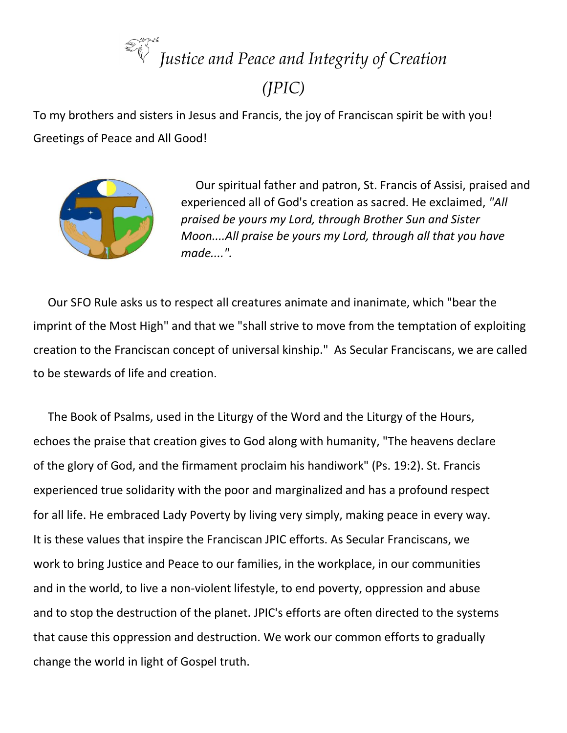## *Justice and Peace and Integrity of Creation*

## *(JPIC)*

To my brothers and sisters in Jesus and Francis, the joy of Franciscan spirit be with you! Greetings of Peace and All Good!



 Our spiritual father and patron, St. Francis of Assisi, praised and experienced all of God's creation as sacred. He exclaimed, *"All praised be yours my Lord, through Brother Sun and Sister Moon....All praise be yours my Lord, through all that you have made....".*

 Our SFO Rule asks us to respect all creatures animate and inanimate, which "bear the imprint of the Most High" and that we "shall strive to move from the temptation of exploiting creation to the Franciscan concept of universal kinship." As Secular Franciscans, we are called to be stewards of life and creation.

 The Book of Psalms, used in the Liturgy of the Word and the Liturgy of the Hours, echoes the praise that creation gives to God along with humanity, "The heavens declare of the glory of God, and the firmament proclaim his handiwork" (Ps. 19:2). St. Francis experienced true solidarity with the poor and marginalized and has a profound respect for all life. He embraced Lady Poverty by living very simply, making peace in every way. It is these values that inspire the Franciscan JPIC efforts. As Secular Franciscans, we work to bring Justice and Peace to our families, in the workplace, in our communities and in the world, to live a non-violent lifestyle, to end poverty, oppression and abuse and to stop the destruction of the planet. JPIC's efforts are often directed to the systems that cause this oppression and destruction. We work our common efforts to gradually change the world in light of Gospel truth.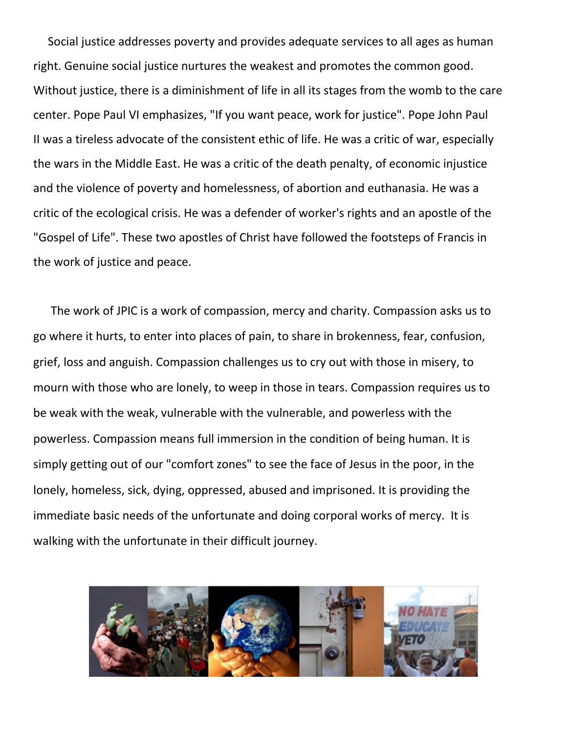Social justice addresses poverty and provides adequate services to all ages as human right. Genuine social justice nurtures the weakest and promotes the common good. Without justice, there is a diminishment of life in all its stages from the womb to the care center. Pope Paul VI emphasizes, "If you want peace, work for justice". Pope John Paul II was a tireless advocate of the consistent ethic of life. He was a critic of war, especially the wars in the Middle East. He was a critic of the death penalty, of economic injustice and the violence of poverty and homelessness, of abortion and euthanasia. He was a critic of the ecological crisis. He was a defender of worker's rights and an apostle of the "Gospel of Life". These two apostles of Christ have followed the footsteps of Francis in the work of justice and peace.

 The work of JPIC is a work of compassion, mercy and charity. Compassion asks us to go where it hurts, to enter into places of pain, to share in brokenness, fear, confusion, grief, loss and anguish. Compassion challenges us to cry out with those in misery, to mourn with those who are lonely, to weep in those in tears. Compassion requires us to be weak with the weak, vulnerable with the vulnerable, and powerless with the powerless. Compassion means full immersion in the condition of being human. It is simply getting out of our "comfort zones" to see the face of Jesus in the poor, in the lonely, homeless, sick, dying, oppressed, abused and imprisoned. It is providing the immediate basic needs of the unfortunate and doing corporal works of mercy. It is walking with the unfortunate in their difficult journey.